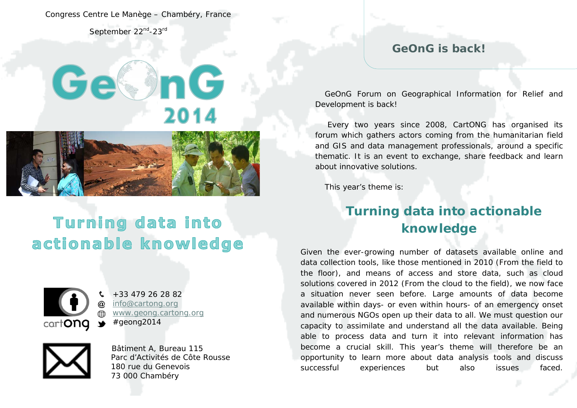Congress Centre Le Manège – Chambéry, France

September 22<sup>nd</sup>-23<sup>rd</sup>

# Ge< InG 2014



# Turning data into actionable knowledge



+33 479 26 28 82 [info@cartong.org](mailto:info@cartong.org) [www.geong.cartong.org](http://www.geong.cartong.org/) #geong2014



Bâtiment A, Bureau 115 Parc d'Activités de Côte Rousse 180 rue du Genevois 73 000 Chambéry

#### **GeOnG is back!**

GeOnG Forum on Geographical Information for Relief and Development is back!

Every two years since 2008, CartONG has organised its forum which gathers actors coming from the humanitarian field and GIS and data management professionals, around a specific thematic. It is an event to exchange, share feedback and learn about innovative solutions.

This year's theme is:

## **Turning data into actionable knowledge**

Given the ever-growing number of datasets available online and data collection tools, like those mentioned in 2010 (From the field to the floor), and means of access and store data, such as cloud solutions covered in 2012 (From the cloud to the field), we now face a situation never seen before. Large amounts of data become available within days- or even within hours- of an emergency onset and numerous NGOs open up their data to all. We must question our capacity to assimilate and understand all the data available. Being able to process data and turn it into relevant information has become a crucial skill. This year's theme will therefore be an opportunity to learn more about data analysis tools and discuss successful experiences but also issues faced.